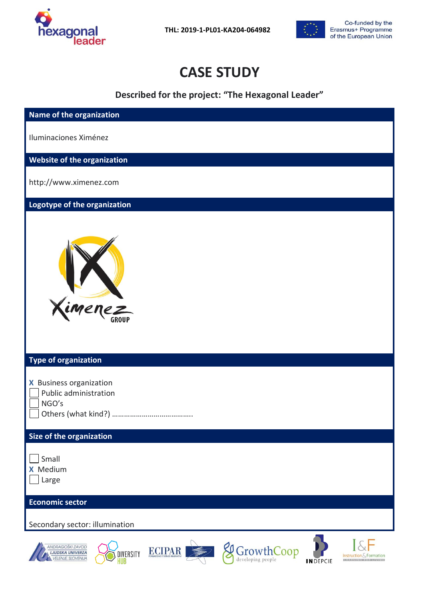

 **THL: 2019-1-PL01-KA204-064982**



# **CASE STUDY**

**Described for the project: "The Hexagonal Leader"**

| Name of the organization                                                                                                                                                                                |
|---------------------------------------------------------------------------------------------------------------------------------------------------------------------------------------------------------|
| Iluminaciones Ximénez                                                                                                                                                                                   |
| Website of the organization                                                                                                                                                                             |
| http://www.ximenez.com                                                                                                                                                                                  |
| Logotype of the organization                                                                                                                                                                            |
| Ximenez<br><b>Type of organization</b>                                                                                                                                                                  |
| X Business organization                                                                                                                                                                                 |
| Public administration<br>NGO's                                                                                                                                                                          |
|                                                                                                                                                                                                         |
| Size of the organization                                                                                                                                                                                |
| Small                                                                                                                                                                                                   |
| <b>X</b> Medium<br>Large                                                                                                                                                                                |
| <b>Economic sector</b>                                                                                                                                                                                  |
| Secondary sector: illumination                                                                                                                                                                          |
| ANDRAGOŠKI ZAVOD<br>GrowthCoop<br>ECIPAR SECTION<br><b>LJUDSKA UNIVERZA</b><br>DIVERSITY<br>Instruction & Formation<br><b>VELENJE, SLOVENIJA</b><br><b>INDEPCIE</b><br><b>LEARNING FOR UNIDE</b><br>łUB |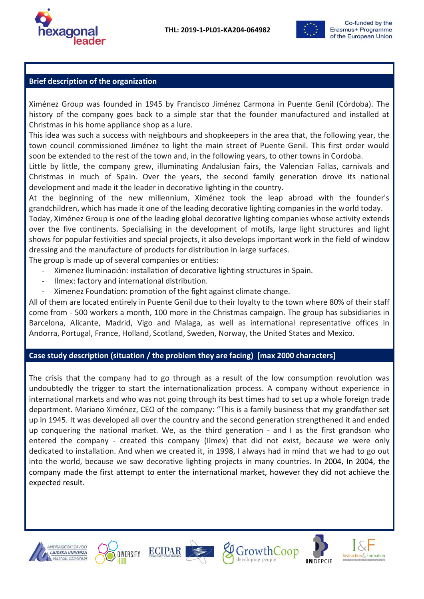



### **Brief description of the organization**

Ximénez Group was founded in 1945 by Francisco Jiménez Carmona in Puente Genil (Córdoba). The history of the company goes back to a simple star that the founder manufactured and installed at Christmas in his home appliance shop as a lure.

This idea was such a success with neighbours and shopkeepers in the area that, the following year, the town council commissioned Jiménez to light the main street of Puente Genil. This first order would soon be extended to the rest of the town and, in the following years, to other towns in Cordoba.

Little by little, the company grew, illuminating Andalusian fairs, the Valencian Fallas, carnivals and Christmas in much of Spain. Over the years, the second family generation drove its national development and made it the leader in decorative lighting in the country.

At the beginning of the new millennium, Ximénez took the leap abroad with the founder's grandchildren, which has made it one of the leading decorative lighting companies in the world today.

Today, Ximénez Group is one of the leading global decorative lighting companies whose activity extends over the five continents. Specialising in the development of motifs, large light structures and light shows for popular festivities and special projects, it also develops important work in the field of window dressing and the manufacture of products for distribution in large surfaces.

The group is made up of several companies or entities:

- Ximenez Iluminación: installation of decorative lighting structures in Spain.
- Ilmex: factory and international distribution.
- Ximenez Foundation: promotion of the fight against climate change.

All of them are located entirely in Puente Genil due to their loyalty to the town where 80% of their staff come from - 500 workers a month, 100 more in the Christmas campaign. The group has subsidiaries in Barcelona, Alicante, Madrid, Vigo and Malaga, as well as international representative offices in Andorra, Portugal, France, Holland, Scotland, Sweden, Norway, the United States and Mexico.

#### **Case study description (situation / the problem they are facing) [max 2000 characters]**

The crisis that the company had to go through as a result of the low consumption revolution was undoubtedly the trigger to start the internationalization process. A company without experience in international markets and who was not going through its best times had to set up a whole foreign trade department. Mariano Ximénez, CEO of the company: "This is a family business that my grandfather set up in 1945. It was developed all over the country and the second generation strengthened it and ended up conquering the national market. We, as the third generation - and I as the first grandson who entered the company - created this company (Ilmex) that did not exist, because we were only dedicated to installation. And when we created it, in 1998, I always had in mind that we had to go out into the world, because we saw decorative lighting projects in many countries. In 2004, In 2004, the company made the first attempt to enter the international market, however they did not achieve the expected result.











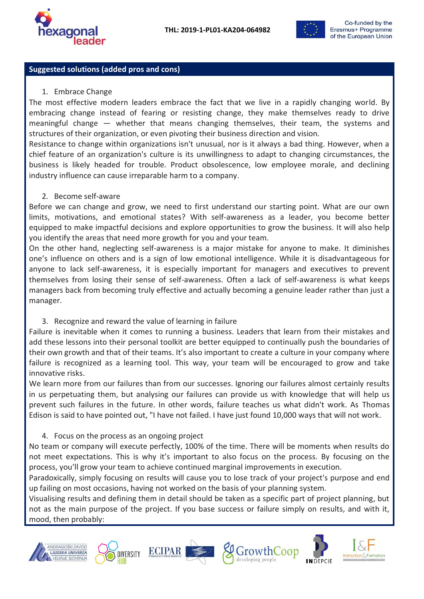



### **Suggested solutions (added pros and cons)**

#### 1. Embrace Change

The most effective modern leaders embrace the fact that we live in a rapidly changing world. By embracing change instead of fearing or resisting change, they make themselves ready to drive meaningful change — whether that means changing themselves, their team, the systems and structures of their organization, or even pivoting their business direction and vision.

Resistance to change within organizations isn't unusual, nor is it always a bad thing. However, when a chief feature of an organization's culture is its unwillingness to adapt to changing circumstances, the business is likely headed for trouble. Product obsolescence, low employee morale, and declining industry influence can cause irreparable harm to a company.

2. Become self-aware

Before we can change and grow, we need to first understand our starting point. What are our own limits, motivations, and emotional states? With self-awareness as a leader, you become better equipped to make impactful decisions and explore opportunities to grow the business. It will also help you identify the areas that need more growth for you and your team.

On the other hand, neglecting self-awareness is a major mistake for anyone to make. It diminishes one's influence on others and is a sign of low emotional intelligence. While it is disadvantageous for anyone to lack self-awareness, it is especially important for managers and executives to prevent themselves from losing their sense of self-awareness. Often a lack of self-awareness is what keeps managers back from becoming truly effective and actually becoming a genuine leader rather than just a manager.

3. Recognize and reward the value of learning in failure

Failure is inevitable when it comes to running a business. Leaders that learn from their mistakes and add these lessons into their personal toolkit are better equipped to continually push the boundaries of their own growth and that of their teams. It's also important to create a culture in your company where failure is recognized as a learning tool. This way, your team will be encouraged to grow and take innovative risks.

We learn more from our failures than from our successes. Ignoring our failures almost certainly results in us perpetuating them, but analysing our failures can provide us with knowledge that will help us prevent such failures in the future. In other words, failure teaches us what didn't work. As Thomas Edison is said to have pointed out, "I have not failed. I have just found 10,000 ways that will not work.

#### 4. Focus on the process as an ongoing project

No team or company will execute perfectly, 100% of the time. There will be moments when results do not meet expectations. This is why it's important to also focus on the process. By focusing on the process, you'll grow your team to achieve continued marginal improvements in execution.

Paradoxically, simply focusing on results will cause you to lose track of your project's purpose and end up failing on most occasions, having not worked on the basis of your planning system.

Visualising results and defining them in detail should be taken as a specific part of project planning, but not as the main purpose of the project. If you base success or failure simply on results, and with it, mood, then probably:











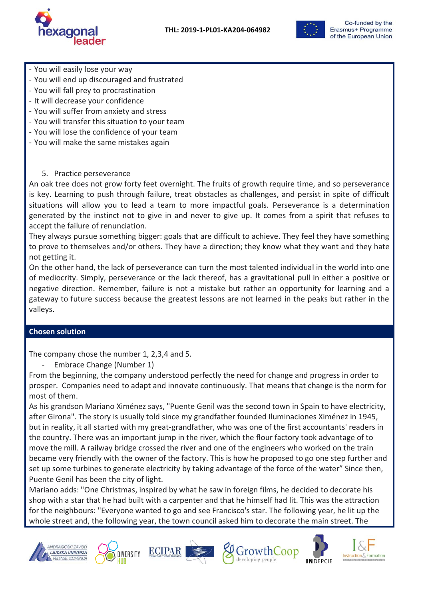**THL: 2019-1-PL01-KA204-064982**





- You will easily lose your way
- You will end up discouraged and frustrated
- You will fall prey to procrastination
- It will decrease your confidence
- You will suffer from anxiety and stress
- You will transfer this situation to your team
- You will lose the confidence of your team
- You will make the same mistakes again
	- 5. Practice perseverance

An oak tree does not grow forty feet overnight. The fruits of growth require time, and so perseverance is key. Learning to push through failure, treat obstacles as challenges, and persist in spite of difficult situations will allow you to lead a team to more impactful goals. Perseverance is a determination generated by the instinct not to give in and never to give up. It comes from a spirit that refuses to accept the failure of renunciation.

They always pursue something bigger: goals that are difficult to achieve. They feel they have something to prove to themselves and/or others. They have a direction; they know what they want and they hate not getting it.

On the other hand, the lack of perseverance can turn the most talented individual in the world into one of mediocrity. Simply, perseverance or the lack thereof, has a gravitational pull in either a positive or negative direction. Remember, failure is not a mistake but rather an opportunity for learning and a gateway to future success because the greatest lessons are not learned in the peaks but rather in the valleys.

#### **Chosen solution**

The company chose the number 1, 2,3,4 and 5.

Embrace Change (Number 1)

From the beginning, the company understood perfectly the need for change and progress in order to prosper. Companies need to adapt and innovate continuously. That means that change is the norm for most of them.

As his grandson Mariano Ximénez says, "Puente Genil was the second town in Spain to have electricity, after Girona". The story is usually told since my grandfather founded Iluminaciones Ximénez in 1945, but in reality, it all started with my great-grandfather, who was one of the first accountants' readers in the country. There was an important jump in the river, which the flour factory took advantage of to move the mill. A railway bridge crossed the river and one of the engineers who worked on the train became very friendly with the owner of the factory. This is how he proposed to go one step further and set up some turbines to generate electricity by taking advantage of the force of the water" Since then, Puente Genil has been the city of light.

Mariano adds: "One Christmas, inspired by what he saw in foreign films, he decided to decorate his shop with a star that he had built with a carpenter and that he himself had lit. This was the attraction for the neighbours: "Everyone wanted to go and see Francisco's star. The following year, he lit up the whole street and, the following year, the town council asked him to decorate the main street. The











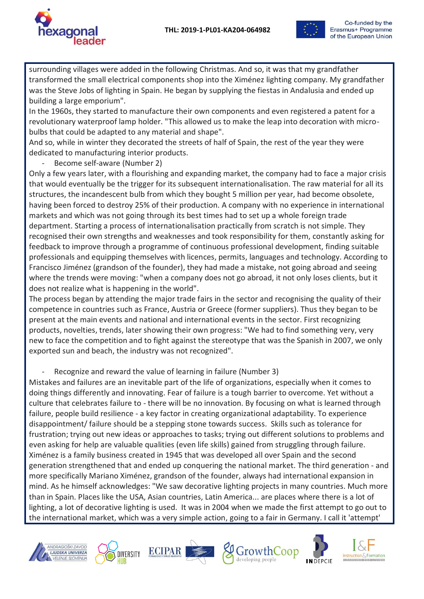



surrounding villages were added in the following Christmas. And so, it was that my grandfather transformed the small electrical components shop into the Ximénez lighting company. My grandfather was the Steve Jobs of lighting in Spain. He began by supplying the fiestas in Andalusia and ended up building a large emporium".

In the 1960s, they started to manufacture their own components and even registered a patent for a revolutionary waterproof lamp holder. "This allowed us to make the leap into decoration with microbulbs that could be adapted to any material and shape".

And so, while in winter they decorated the streets of half of Spain, the rest of the year they were dedicated to manufacturing interior products.

Become self-aware (Number 2)

Only a few years later, with a flourishing and expanding market, the company had to face a major crisis that would eventually be the trigger for its subsequent internationalisation. The raw material for all its structures, the incandescent bulb from which they bought 5 million per year, had become obsolete, having been forced to destroy 25% of their production. A company with no experience in international markets and which was not going through its best times had to set up a whole foreign trade department. Starting a process of internationalisation practically from scratch is not simple. They recognised their own strengths and weaknesses and took responsibility for them, constantly asking for feedback to improve through a programme of continuous professional development, finding suitable professionals and equipping themselves with licences, permits, languages and technology. According to Francisco Jiménez (grandson of the founder), they had made a mistake, not going abroad and seeing where the trends were moving: "when a company does not go abroad, it not only loses clients, but it does not realize what is happening in the world".

The process began by attending the major trade fairs in the sector and recognising the quality of their competence in countries such as France, Austria or Greece (former suppliers). Thus they began to be present at the main events and national and international events in the sector. First recognizing products, novelties, trends, later showing their own progress: "We had to find something very, very new to face the competition and to fight against the stereotype that was the Spanish in 2007, we only exported sun and beach, the industry was not recognized".

- Recognize and reward the value of learning in failure (Number 3)

Mistakes and failures are an inevitable part of the life of organizations, especially when it comes to doing things differently and innovating. Fear of failure is a tough barrier to overcome. Yet without a culture that celebrates failure to - there will be no innovation. By focusing on what is learned through failure, people build resilience - a key factor in creating organizational adaptability. To experience disappointment/ failure should be a stepping stone towards success. Skills such as tolerance for frustration; trying out new ideas or approaches to tasks; trying out different solutions to problems and even asking for help are valuable qualities (even life skills) gained from struggling through failure. Ximénez is a family business created in 1945 that was developed all over Spain and the second generation strengthened that and ended up conquering the national market. The third generation - and more specifically Mariano Ximénez, grandson of the founder, always had international expansion in mind. As he himself acknowledges: "We saw decorative lighting projects in many countries. Much more than in Spain. Places like the USA, Asian countries, Latin America... are places where there is a lot of lighting, a lot of decorative lighting is used. It was in 2004 when we made the first attempt to go out to the international market, which was a very simple action, going to a fair in Germany. I call it 'attempt'











Instruction & Formation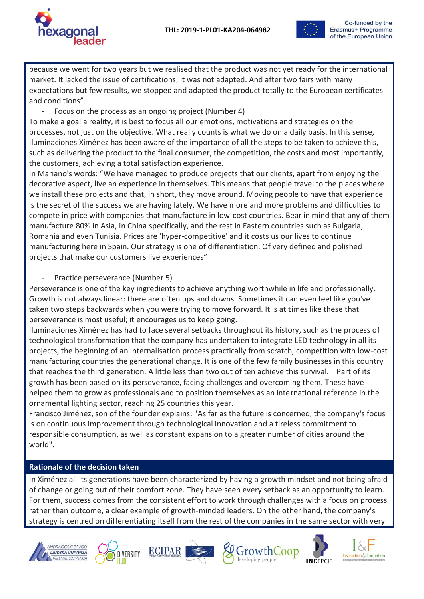



because we went for two years but we realised that the product was not yet ready for the international market. It lacked the issue of certifications; it was not adapted. And after two fairs with many expectations but few results, we stopped and adapted the product totally to the European certificates and conditions"

Focus on the process as an ongoing project (Number 4)

To make a goal a reality, it is best to focus all our emotions, motivations and strategies on the processes, not just on the objective. What really counts is what we do on a daily basis. In this sense, Iluminaciones Ximénez has been aware of the importance of all the steps to be taken to achieve this, such as delivering the product to the final consumer, the competition, the costs and most importantly, the customers, achieving a total satisfaction experience.

In Mariano's words: "We have managed to produce projects that our clients, apart from enjoying the decorative aspect, live an experience in themselves. This means that people travel to the places where we install these projects and that, in short, they move around. Moving people to have that experience is the secret of the success we are having lately. We have more and more problems and difficulties to compete in price with companies that manufacture in low-cost countries. Bear in mind that any of them manufacture 80% in Asia, in China specifically, and the rest in Eastern countries such as Bulgaria, Romania and even Tunisia. Prices are 'hyper-competitive' and it costs us our lives to continue manufacturing here in Spain. Our strategy is one of differentiation. Of very defined and polished projects that make our customers live experiences"

Practice perseverance (Number 5)

Perseverance is one of the key ingredients to achieve anything worthwhile in life and professionally. Growth is not always linear: there are often ups and downs. Sometimes it can even feel like you've taken two steps backwards when you were trying to move forward. It is at times like these that perseverance is most useful; it encourages us to keep going.

Iluminaciones Ximénez has had to face several setbacks throughout its history, such as the process of technological transformation that the company has undertaken to integrate LED technology in all its projects, the beginning of an internalisation process practically from scratch, competition with low-cost manufacturing countries the generational change. It is one of the few family businesses in this country that reaches the third generation. A little less than two out of ten achieve this survival. Part of its growth has been based on its perseverance, facing challenges and overcoming them. These have helped them to grow as professionals and to position themselves as an international reference in the ornamental lighting sector, reaching 25 countries this year.

Francisco Jiménez, son of the founder explains: "As far as the future is concerned, the company's focus is on continuous improvement through technological innovation and a tireless commitment to responsible consumption, as well as constant expansion to a greater number of cities around the world".

## **Rationale of the decision taken**

In Ximénez all its generations have been characterized by having a growth mindset and not being afraid of change or going out of their comfort zone. They have seen every setback as an opportunity to learn. For them, success comes from the consistent effort to work through challenges with a focus on process rather than outcome, a clear example of growth-minded leaders. On the other hand, the company's strategy is centred on differentiating itself from the rest of the companies in the same sector with very











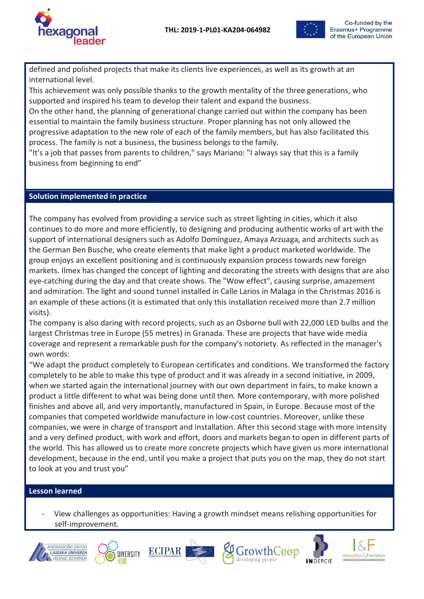



defined and polished projects that make its clients live experiences, as well as its growth at an international level.

This achievement was only possible thanks to the growth mentality of the three generations, who supported and inspired his team to develop their talent and expand the business.

On the other hand, the planning of generational change carried out within the company has been essential to maintain the family business structure. Proper planning has not only allowed the progressive adaptation to the new role of each of the family members, but has also facilitated this process. The family is not a business, the business belongs to the family.

"It's a job that passes from parents to children," says Mariano: "I always say that this is a family business from beginning to end"

#### **Solution implemented in practice**

The company has evolved from providing a service such as street lighting in cities, which it also continues to do more and more efficiently, to designing and producing authentic works of art with the support of international designers such as Adolfo Domínguez, Amaya Arzuaga, and architects such as the German Ben Busche, who create elements that make light a product marketed worldwide. The group enjoys an excellent positioning and is continuously expansion process towards new foreign markets. Ilmex has changed the concept of lighting and decorating the streets with designs that are also eye-catching during the day and that create shows. The "Wow effect", causing surprise, amazement and admiration. The light and sound tunnel installed in Calle Larios in Malaga in the Christmas 2016 is an example of these actions (it is estimated that only this installation received more than 2.7 million visits).

The company is also daring with record projects, such as an Osborne bull with 22,000 LED bulbs and the largest Christmas tree in Europe (55 metres) in Granada. These are projects that have wide media coverage and represent a remarkable push for the company's notoriety. As reflected in the manager's own words:

"We adapt the product completely to European certificates and conditions. We transformed the factory completely to be able to make this type of product and it was already in a second initiative, in 2009, when we started again the international journey with our own department in fairs, to make known a product a little different to what was being done until then. More contemporary, with more polished finishes and above all, and very importantly, manufactured in Spain, in Europe. Because most of the companies that competed worldwide manufacture in low-cost countries. Moreover, unlike these companies, we were in charge of transport and installation. After this second stage with more intensity and a very defined product, with work and effort, doors and markets began to open in different parts of the world. This has allowed us to create more concrete projects which have given us more international development, because in the end, until you make a project that puts you on the map, they do not start to look at you and trust you"

#### **Lesson learned**

- View challenges as opportunities: Having a growth mindset means relishing opportunities for self-improvement.